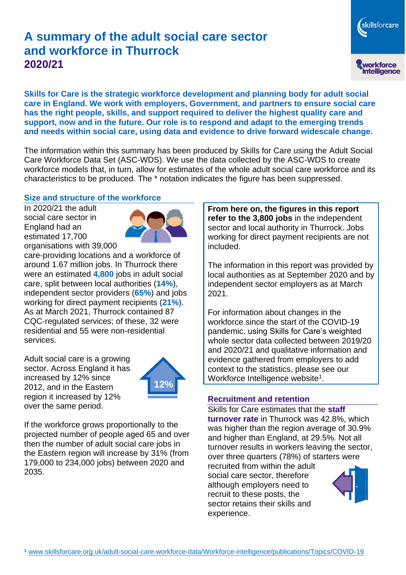# **A summary of the adult social care sector and workforce in Thurrock 2020/21**

skillsforcare workforce<br>intelligence

**Skills for Care is the strategic workforce development and planning body for adult social care in England. We work with employers, Government, and partners to ensure social care has the right people, skills, and support required to deliver the highest quality care and support, now and in the future. Our role is to respond and adapt to the emerging trends and needs within social care, using data and evidence to drive forward widescale change.**

The information within this summary has been produced by Skills for Care using the Adult Social Care Workforce Data Set (ASC-WDS). We use the data collected by the ASC-WDS to create workforce models that, in turn, allow for estimates of the whole adult social care workforce and its characteristics to be produced. The \* notation indicates the figure has been suppressed.

#### **Size and structure of the workforce**

In 2020/21 the adult social care sector in England had an estimated 17,700 organisations with 39,000



care-providing locations and a workforce of around 1.67 million jobs. In Thurrock there were an estimated **4,800** jobs in adult social care, split between local authorities (**14%**), independent sector providers (**65%**) and jobs working for direct payment recipients (**21%**). As at March 2021, Thurrock contained 87 CQC-regulated services; of these, 32 were residential and 55 were non-residential services.

Adult social care is a growing sector. Across England it has increased by 12% since 2012, and in the Eastern region it increased by 12% over the same period.



If the workforce grows proportionally to the projected number of people aged 65 and over then the number of adult social care jobs in the Eastern region will increase by 31% (from 179,000 to 234,000 jobs) between 2020 and 2035.

**From here on, the figures in this report refer to the 3,800 jobs** in the independent sector and local authority in Thurrock. Jobs working for direct payment recipients are not included.

The information in this report was provided by local authorities as at September 2020 and by independent sector employers as at March 2021.

For information about changes in the workforce since the start of the COVID-19 pandemic, using Skills for Care's weighted whole sector data collected between 2019/20 and 2020/21 and qualitative information and evidence gathered from employers to add context to the statistics, please see our Workforce Intelligence website<sup>1</sup>.

#### **Recruitment and retention**

Skills for Care estimates that the **staff turnover rate** in Thurrock was 42.8%, which was higher than the region average of 30.9% and higher than England, at 29.5%. Not all turnover results in workers leaving the sector, over three quarters (78%) of starters were

recruited from within the adult social care sector, therefore although employers need to recruit to these posts, the sector retains their skills and experience.

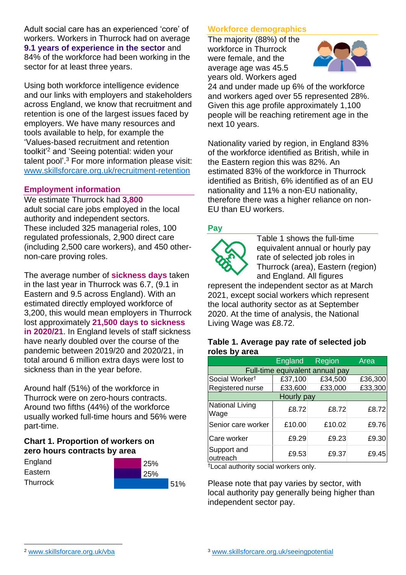Adult social care has an experienced 'core' of workers. Workers in Thurrock had on average **9.1 years of experience in the sector** and 84% of the workforce had been working in the sector for at least three years.

Using both workforce intelligence evidence and our links with employers and stakeholders across England, we know that recruitment and retention is one of the largest issues faced by employers. We have many resources and tools available to help, for example the 'Values-based recruitment and retention toolkit'<sup>2</sup> and 'Seeing potential: widen your talent pool'. <sup>3</sup> For more information please visit: [www.skillsforcare.org.uk/recruitment-retention](http://www.skillsforcare.org.uk/recruitment-retention)

### **Employment information**

We estimate Thurrock had **3,800** adult social care jobs employed in the local authority and independent sectors. These included 325 managerial roles, 100 regulated professionals, 2,900 direct care (including 2,500 care workers), and 450 othernon-care proving roles.

The average number of **sickness days** taken in the last year in Thurrock was 6.7, (9.1 in Eastern and 9.5 across England). With an estimated directly employed workforce of 3,200, this would mean employers in Thurrock lost approximately **21,500 days to sickness in 2020/21**. In England levels of staff sickness have nearly doubled over the course of the pandemic between 2019/20 and 2020/21, in total around 6 million extra days were lost to sickness than in the year before.

Around half (51%) of the workforce in Thurrock were on zero-hours contracts. Around two fifths (44%) of the workforce usually worked full-time hours and 56% were part-time.

## **Chart 1. Proportion of workers on zero hours contracts by area**

| England         | 25% |     |
|-----------------|-----|-----|
| Eastern         | 25% |     |
| <b>Thurrock</b> |     | 51% |

### **Workforce demographics**

The majority (88%) of the workforce in Thurrock were female, and the average age was 45.5 years old. Workers aged



24 and under made up 6% of the workforce and workers aged over 55 represented 28%. Given this age profile approximately 1,100 people will be reaching retirement age in the next 10 years.

Nationality varied by region, in England 83% of the workforce identified as British, while in the Eastern region this was 82%. An estimated 83% of the workforce in Thurrock identified as British, 6% identified as of an EU nationality and 11% a non-EU nationality, therefore there was a higher reliance on non-EU than EU workers.

## **Pay**



Table 1 shows the full-time equivalent annual or hourly pay rate of selected job roles in Thurrock (area), Eastern (region) and England. All figures

represent the independent sector as at March 2021, except social workers which represent the local authority sector as at September 2020. At the time of analysis, the National Living Wage was £8.72.

#### **Table 1. Average pay rate of selected job roles by area**

|                                 | <b>England</b> | <b>Region</b> | Area    |  |  |
|---------------------------------|----------------|---------------|---------|--|--|
| Full-time equivalent annual pay |                |               |         |  |  |
| Social Worker <sup>t</sup>      | £37,100        | £34,500       | £36,300 |  |  |
| Registered nurse                | £33,600        | £33,000       | £33,300 |  |  |
| Hourly pay                      |                |               |         |  |  |
| National Living<br>Wage         | £8.72          | £8.72         | £8.72   |  |  |
| Senior care worker              | £10.00         | £10.02        | £9.76   |  |  |
| Care worker                     | £9.29          | £9.23         | £9.30   |  |  |
| Support and<br>outreach         | £9.53          | £9.37         | £9.45   |  |  |

†Local authority social workers only.

Please note that pay varies by sector, with local authority pay generally being higher than independent sector pay.